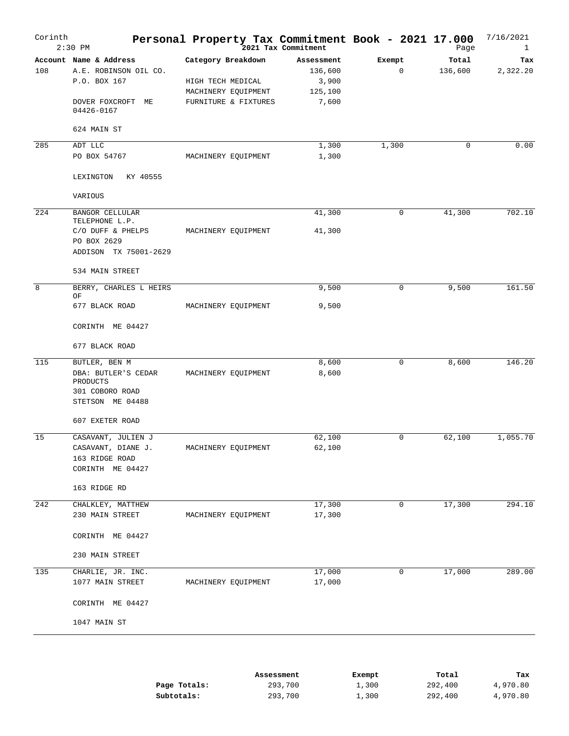| Corinth | $2:30$ PM                                                                            | Personal Property Tax Commitment Book - 2021 17.000                                    | 2021 Tax Commitment                                |             | Page             | 7/16/2021<br>$\mathbf{1}$ |
|---------|--------------------------------------------------------------------------------------|----------------------------------------------------------------------------------------|----------------------------------------------------|-------------|------------------|---------------------------|
| 108     | Account Name & Address<br>A.E. ROBINSON OIL CO.<br>P.O. BOX 167<br>DOVER FOXCROFT ME | Category Breakdown<br>HIGH TECH MEDICAL<br>MACHINERY EQUIPMENT<br>FURNITURE & FIXTURES | Assessment<br>136,600<br>3,900<br>125,100<br>7,600 | Exempt<br>0 | Total<br>136,600 | Tax<br>2,322.20           |
|         | 04426-0167<br>624 MAIN ST                                                            |                                                                                        |                                                    |             |                  |                           |
| 285     | ADT LLC                                                                              |                                                                                        | 1,300                                              | 1,300       | 0                | 0.00                      |
|         | PO BOX 54767                                                                         | MACHINERY EQUIPMENT                                                                    | 1,300                                              |             |                  |                           |
|         | LEXINGTON<br>KY 40555                                                                |                                                                                        |                                                    |             |                  |                           |
|         | VARIOUS                                                                              |                                                                                        |                                                    |             |                  |                           |
| 224     | <b>BANGOR CELLULAR</b><br>TELEPHONE L.P.                                             |                                                                                        | 41,300                                             | 0           | 41,300           | 702.10                    |
|         | C/O DUFF & PHELPS<br>PO BOX 2629                                                     | MACHINERY EQUIPMENT                                                                    | 41,300                                             |             |                  |                           |
|         | ADDISON TX 75001-2629<br>534 MAIN STREET                                             |                                                                                        |                                                    |             |                  |                           |
| 8       | BERRY, CHARLES L HEIRS                                                               |                                                                                        | 9,500                                              | 0           | 9,500            | 161.50                    |
|         | OF<br>677 BLACK ROAD                                                                 | MACHINERY EQUIPMENT                                                                    | 9,500                                              |             |                  |                           |
|         | CORINTH ME 04427                                                                     |                                                                                        |                                                    |             |                  |                           |
|         | 677 BLACK ROAD                                                                       |                                                                                        |                                                    |             |                  |                           |
| 115     | BUTLER, BEN M                                                                        |                                                                                        | 8,600                                              | 0           | 8,600            | 146.20                    |
|         | DBA: BUTLER'S CEDAR<br>PRODUCTS<br>301 COBORO ROAD                                   | MACHINERY EQUIPMENT                                                                    | 8,600                                              |             |                  |                           |
|         | STETSON ME 04488                                                                     |                                                                                        |                                                    |             |                  |                           |
|         | 607 EXETER ROAD                                                                      |                                                                                        |                                                    |             |                  |                           |
| 15      | CASAVANT, JULIEN J                                                                   |                                                                                        | 62,100                                             | 0           | 62,100           | 1,055.70                  |
|         | CASAVANT, DIANE J.<br>163 RIDGE ROAD                                                 | MACHINERY EQUIPMENT                                                                    | 62,100                                             |             |                  |                           |
|         | CORINTH ME 04427                                                                     |                                                                                        |                                                    |             |                  |                           |
|         | 163 RIDGE RD                                                                         |                                                                                        |                                                    |             |                  |                           |
| 242     | CHALKLEY, MATTHEW                                                                    |                                                                                        | 17,300                                             | $\mathbf 0$ | 17,300           | 294.10                    |
|         | 230 MAIN STREET                                                                      | MACHINERY EQUIPMENT                                                                    | 17,300                                             |             |                  |                           |
|         | CORINTH ME 04427                                                                     |                                                                                        |                                                    |             |                  |                           |
|         | 230 MAIN STREET                                                                      |                                                                                        |                                                    |             |                  |                           |
| 135     | CHARLIE, JR. INC.                                                                    |                                                                                        | 17,000                                             | 0           | 17,000           | 289.00                    |
|         | 1077 MAIN STREET<br>CORINTH ME 04427                                                 | MACHINERY EQUIPMENT                                                                    | 17,000                                             |             |                  |                           |
|         |                                                                                      |                                                                                        |                                                    |             |                  |                           |
|         | 1047 MAIN ST                                                                         |                                                                                        |                                                    |             |                  |                           |
|         |                                                                                      |                                                                                        |                                                    |             |                  |                           |

|              | Assessment | Exempt | Total   | Tax      |
|--------------|------------|--------|---------|----------|
| Page Totals: | 293,700    | 1,300  | 292,400 | 4,970.80 |
| Subtotals:   | 293,700    | 1,300  | 292,400 | 4,970.80 |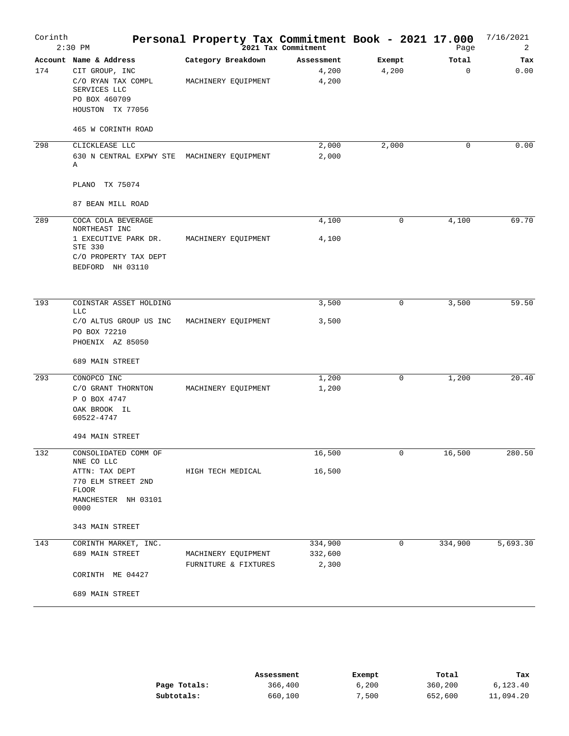| Corinth | $2:30$ PM                                                                                                           |                                             | Personal Property Tax Commitment Book - 2021 17.000<br>2021 Tax Commitment |                 | Page                 | 7/16/2021<br>2 |
|---------|---------------------------------------------------------------------------------------------------------------------|---------------------------------------------|----------------------------------------------------------------------------|-----------------|----------------------|----------------|
| 174     | Account Name & Address<br>CIT GROUP, INC<br>C/O RYAN TAX COMPL<br>SERVICES LLC<br>PO BOX 460709<br>HOUSTON TX 77056 | Category Breakdown<br>MACHINERY EQUIPMENT   | Assessment<br>4,200<br>4,200                                               | Exempt<br>4,200 | Total<br>$\mathbf 0$ | Tax<br>0.00    |
|         | 465 W CORINTH ROAD                                                                                                  |                                             |                                                                            |                 |                      |                |
| 298     | CLICKLEASE LLC<br>630 N CENTRAL EXPWY STE MACHINERY EQUIPMENT<br>Α<br>TX 75074<br>PLANO                             |                                             | 2,000<br>2,000                                                             | 2,000           | 0                    | 0.00           |
|         | 87 BEAN MILL ROAD                                                                                                   |                                             |                                                                            |                 |                      |                |
| 289     | COCA COLA BEVERAGE<br>NORTHEAST INC                                                                                 |                                             | 4,100                                                                      | 0               | 4,100                | 69.70          |
|         | 1 EXECUTIVE PARK DR.<br>STE 330<br>C/O PROPERTY TAX DEPT<br>BEDFORD NH 03110                                        | MACHINERY EQUIPMENT                         | 4,100                                                                      |                 |                      |                |
| 193     | COINSTAR ASSET HOLDING                                                                                              |                                             | 3,500                                                                      | 0               | 3,500                | 59.50          |
|         | <b>LLC</b><br>C/O ALTUS GROUP US INC<br>PO BOX 72210<br>PHOENIX AZ 85050                                            | MACHINERY EQUIPMENT                         | 3,500                                                                      |                 |                      |                |
|         | 689 MAIN STREET                                                                                                     |                                             |                                                                            |                 |                      |                |
| 293     | CONOPCO INC<br>C/O GRANT THORNTON<br>P O BOX 4747<br>OAK BROOK IL<br>60522-4747                                     | MACHINERY EQUIPMENT                         | 1,200<br>1,200                                                             | 0               | 1,200                | 20.40          |
|         | 494 MAIN STREET                                                                                                     |                                             |                                                                            |                 |                      |                |
| 132     | CONSOLIDATED COMM OF<br>NNE CO LLC                                                                                  |                                             | 16,500                                                                     | 0               | 16,500               | 280.50         |
|         | ATTN: TAX DEPT<br>770 ELM STREET 2ND<br><b>FLOOR</b><br>MANCHESTER NH 03101<br>0000                                 | HIGH TECH MEDICAL                           | 16,500                                                                     |                 |                      |                |
|         | 343 MAIN STREET                                                                                                     |                                             |                                                                            |                 |                      |                |
| 143     | CORINTH MARKET, INC.<br>689 MAIN STREET<br>CORINTH ME 04427                                                         | MACHINERY EQUIPMENT<br>FURNITURE & FIXTURES | 334,900<br>332,600<br>2,300                                                | $\mathbf 0$     | 334,900              | 5,693.30       |
|         | 689 MAIN STREET                                                                                                     |                                             |                                                                            |                 |                      |                |

|              | Assessment | Exempt | Total   | Tax       |
|--------------|------------|--------|---------|-----------|
| Page Totals: | 366,400    | 6,200  | 360,200 | 6,123.40  |
| Subtotals:   | 660,100    | 7,500  | 652,600 | 11,094.20 |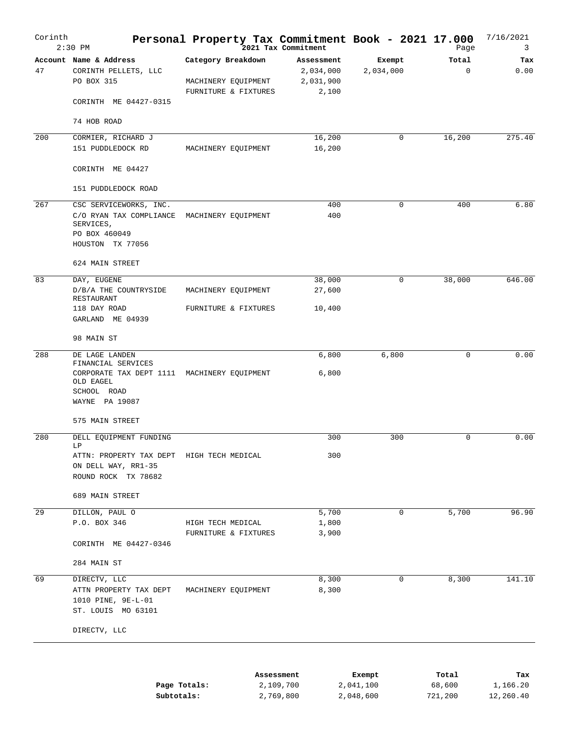| Corinth | $2:30$ PM                                                                             | Personal Property Tax Commitment Book - 2021 17.000               | .<br>2021 Tax Commitment                      |                     | Page                 | 7/16/2021<br>3 |
|---------|---------------------------------------------------------------------------------------|-------------------------------------------------------------------|-----------------------------------------------|---------------------|----------------------|----------------|
| 47      | Account Name & Address<br>CORINTH PELLETS, LLC<br>PO BOX 315<br>CORINTH ME 04427-0315 | Category Breakdown<br>MACHINERY EQUIPMENT<br>FURNITURE & FIXTURES | Assessment<br>2,034,000<br>2,031,900<br>2,100 | Exempt<br>2,034,000 | Total<br>$\mathbf 0$ | Tax<br>0.00    |
|         | 74 HOB ROAD                                                                           |                                                                   |                                               |                     |                      |                |
| 200     | CORMIER, RICHARD J                                                                    |                                                                   | 16,200                                        | $\mathbf 0$         | 16,200               | 275.40         |
|         | 151 PUDDLEDOCK RD                                                                     | MACHINERY EQUIPMENT                                               | 16,200                                        |                     |                      |                |
|         | CORINTH ME 04427                                                                      |                                                                   |                                               |                     |                      |                |
|         | 151 PUDDLEDOCK ROAD                                                                   |                                                                   |                                               |                     |                      |                |
| 267     | CSC SERVICEWORKS, INC.<br>C/O RYAN TAX COMPLIANCE MACHINERY EQUIPMENT<br>SERVICES,    |                                                                   | 400<br>400                                    | $\Omega$            | 400                  | 6.80           |
|         | PO BOX 460049<br>HOUSTON TX 77056                                                     |                                                                   |                                               |                     |                      |                |
|         | 624 MAIN STREET                                                                       |                                                                   |                                               |                     |                      |                |
| 83      | DAY, EUGENE                                                                           |                                                                   | 38,000                                        | 0                   | 38,000               | 646.00         |
|         | D/B/A THE COUNTRYSIDE<br>RESTAURANT<br>118 DAY ROAD                                   | MACHINERY EQUIPMENT<br>FURNITURE & FIXTURES                       | 27,600<br>10,400                              |                     |                      |                |
|         | GARLAND ME 04939                                                                      |                                                                   |                                               |                     |                      |                |
|         | 98 MAIN ST                                                                            |                                                                   |                                               |                     |                      |                |
| 288     | DE LAGE LANDEN<br>FINANCIAL SERVICES                                                  |                                                                   | 6,800                                         | 6,800               | $\mathbf 0$          | 0.00           |
|         | CORPORATE TAX DEPT 1111 MACHINERY EQUIPMENT<br>OLD EAGEL<br>SCHOOL ROAD               |                                                                   | 6,800                                         |                     |                      |                |
|         | WAYNE PA 19087<br>575 MAIN STREET                                                     |                                                                   |                                               |                     |                      |                |
| 280     | DELL EQUIPMENT FUNDING<br>LP                                                          |                                                                   | 300                                           | 300                 | $\mathbf 0$          | 0.00           |
|         | ATTN: PROPERTY TAX DEPT HIGH TECH MEDICAL                                             |                                                                   | 300                                           |                     |                      |                |
|         | ON DELL WAY, RR1-35<br>ROUND ROCK TX 78682                                            |                                                                   |                                               |                     |                      |                |
|         | 689 MAIN STREET                                                                       |                                                                   |                                               |                     |                      |                |
| 29      | DILLON, PAUL O                                                                        |                                                                   | 5,700                                         | 0                   | 5,700                | 96.90          |
|         | P.O. BOX 346                                                                          | HIGH TECH MEDICAL                                                 | 1,800                                         |                     |                      |                |
|         | CORINTH ME 04427-0346                                                                 | FURNITURE & FIXTURES                                              | 3,900                                         |                     |                      |                |
|         | 284 MAIN ST                                                                           |                                                                   |                                               |                     |                      |                |
| 69      | DIRECTV, LLC                                                                          |                                                                   | 8,300                                         | $\mathbf 0$         | 8,300                | 141.10         |
|         | ATTN PROPERTY TAX DEPT<br>1010 PINE, 9E-L-01<br>ST. LOUIS MO 63101                    | MACHINERY EQUIPMENT                                               | 8,300                                         |                     |                      |                |
|         | DIRECTV, LLC                                                                          |                                                                   |                                               |                     |                      |                |
|         |                                                                                       |                                                                   |                                               |                     |                      |                |
|         |                                                                                       | Assessment                                                        |                                               | Exempt              | Total                | Tax            |
|         |                                                                                       | 2,109,700<br>Page Totals:                                         |                                               | 2,041,100           | 68,600               | 1,166.20       |

2,769,800

2,048,600

721,200

12,260.40

**Subtotals:**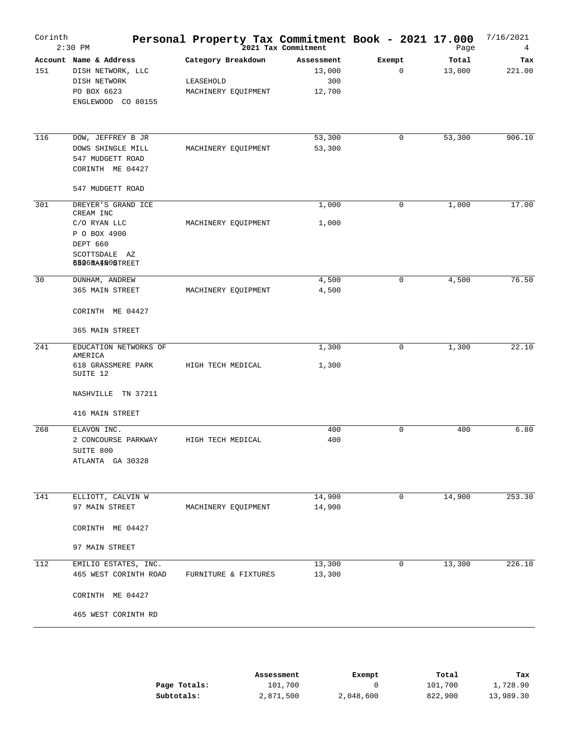| Corinth | $2:30$ PM                                                                                                       | Personal Property Tax Commitment Book - 2021 17.000    | 2021 Tax Commitment                   |                       | Page            | 7/16/2021<br>4 |
|---------|-----------------------------------------------------------------------------------------------------------------|--------------------------------------------------------|---------------------------------------|-----------------------|-----------------|----------------|
| 151     | Account Name & Address<br>DISH NETWORK, LLC<br>DISH NETWORK<br>PO BOX 6623<br>ENGLEWOOD CO 80155                | Category Breakdown<br>LEASEHOLD<br>MACHINERY EQUIPMENT | Assessment<br>13,000<br>300<br>12,700 | Exempt<br>$\mathbf 0$ | Total<br>13,000 | Tax<br>221.00  |
| 116     | DOW, JEFFREY B JR<br>DOWS SHINGLE MILL<br>547 MUDGETT ROAD<br>CORINTH ME 04427<br>547 MUDGETT ROAD              | MACHINERY EQUIPMENT                                    | 53,300<br>53,300                      | 0                     | 53,300          | 906.10         |
| 301     | DREYER'S GRAND ICE<br>CREAM INC<br>C/O RYAN LLC<br>P O BOX 4900<br>DEPT 660<br>SCOTTSDALE AZ<br>6826MA4N0STREET | MACHINERY EQUIPMENT                                    | 1,000<br>1,000                        | 0                     | 1,000           | 17.00          |
| 30      | DUNHAM, ANDREW<br>365 MAIN STREET<br>CORINTH ME 04427<br>365 MAIN STREET                                        | MACHINERY EQUIPMENT                                    | 4,500<br>4,500                        | 0                     | 4,500           | 76.50          |
| 241     | EDUCATION NETWORKS OF<br>AMERICA<br>618 GRASSMERE PARK<br>SUITE 12<br>NASHVILLE TN 37211<br>416 MAIN STREET     | HIGH TECH MEDICAL                                      | 1,300<br>1,300                        | 0                     | 1,300           | 22.10          |
| 268     | ELAVON INC.<br>2 CONCOURSE PARKWAY<br>SUITE 800<br>ATLANTA GA 30328                                             | HIGH TECH MEDICAL                                      | 400<br>400                            | 0                     | 400             | 6.80           |
| 141     | ELLIOTT, CALVIN W<br>97 MAIN STREET<br>CORINTH ME 04427<br>97 MAIN STREET                                       | MACHINERY EQUIPMENT                                    | 14,900<br>14,900                      | $\mathbf 0$           | 14,900          | 253.30         |
| 112     | EMILIO ESTATES, INC.<br>465 WEST CORINTH ROAD<br>CORINTH ME 04427<br>465 WEST CORINTH RD                        | FURNITURE & FIXTURES                                   | 13,300<br>13,300                      | 0                     | 13,300          | 226.10         |

|              | Assessment | Exempt    | Total   | Tax       |
|--------------|------------|-----------|---------|-----------|
| Page Totals: | 101,700    |           | 101,700 | 1,728.90  |
| Subtotals:   | 2,871,500  | 2,048,600 | 822,900 | 13,989.30 |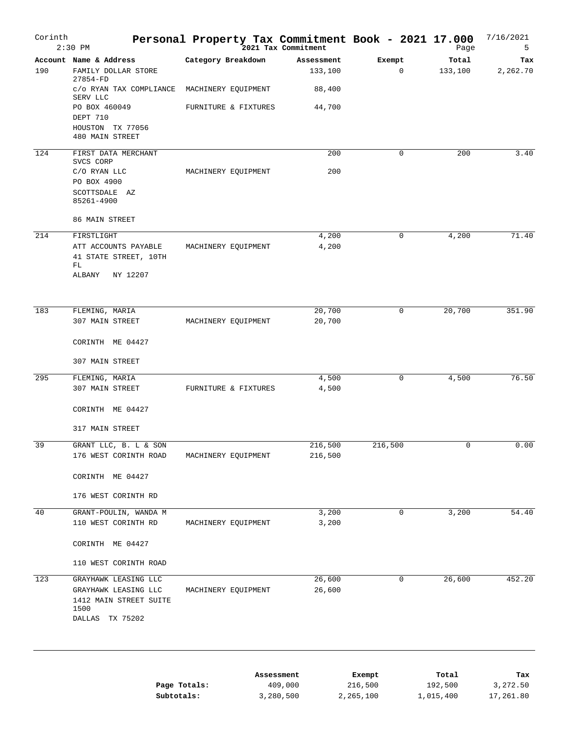| Corinth | $2:30$ PM                                                 | Personal Property Tax Commitment Book - 2021 17.000 | 2021 Tax Commitment   |               | Page             | 7/16/2021<br>5  |
|---------|-----------------------------------------------------------|-----------------------------------------------------|-----------------------|---------------|------------------|-----------------|
| 190     | Account Name & Address<br>FAMILY DOLLAR STORE<br>27854-FD | Category Breakdown                                  | Assessment<br>133,100 | Exempt<br>0   | Total<br>133,100 | Tax<br>2,262.70 |
|         | C/O RYAN TAX COMPLIANCE<br>SERV LLC                       | MACHINERY EQUIPMENT                                 | 88,400                |               |                  |                 |
|         | PO BOX 460049                                             | FURNITURE & FIXTURES                                | 44,700                |               |                  |                 |
|         | DEPT 710<br>HOUSTON TX 77056<br>480 MAIN STREET           |                                                     |                       |               |                  |                 |
| 124     | FIRST DATA MERCHANT<br>SVCS CORP                          |                                                     | 200                   | $\mathbf 0$   | 200              | 3.40            |
|         | C/O RYAN LLC                                              | MACHINERY EQUIPMENT                                 | 200                   |               |                  |                 |
|         | PO BOX 4900<br>SCOTTSDALE AZ<br>85261-4900                |                                                     |                       |               |                  |                 |
|         | 86 MAIN STREET                                            |                                                     |                       |               |                  |                 |
| 214     | FIRSTLIGHT                                                |                                                     | 4,200                 | 0             | 4,200            | 71.40           |
|         | ATT ACCOUNTS PAYABLE<br>41 STATE STREET, 10TH             | MACHINERY EQUIPMENT                                 | 4,200                 |               |                  |                 |
|         | FL<br>ALBANY<br>NY 12207                                  |                                                     |                       |               |                  |                 |
|         |                                                           |                                                     |                       |               |                  |                 |
| 183     | FLEMING, MARIA<br>307 MAIN STREET                         | MACHINERY EQUIPMENT                                 | 20,700<br>20,700      | 0             | 20,700           | 351.90          |
|         | CORINTH ME 04427                                          |                                                     |                       |               |                  |                 |
|         | 307 MAIN STREET                                           |                                                     |                       |               |                  |                 |
| 295     | FLEMING, MARIA                                            |                                                     | 4,500                 | 0             | 4,500            | 76.50           |
|         | 307 MAIN STREET                                           | FURNITURE & FIXTURES                                | 4,500                 |               |                  |                 |
|         | CORINTH ME 04427                                          |                                                     |                       |               |                  |                 |
|         | 317 MAIN STREET                                           |                                                     |                       |               |                  |                 |
| 39      | GRANT LLC, B. L & SON<br>176 WEST CORINTH ROAD            | MACHINERY EQUIPMENT                                 | 216,500<br>216,500    | 216,500       | 0                | 0.00            |
|         | CORINTH ME 04427                                          |                                                     |                       |               |                  |                 |
|         | 176 WEST CORINTH RD                                       |                                                     |                       |               |                  |                 |
| 40      | GRANT-POULIN, WANDA M                                     |                                                     | 3,200                 | $\mathbf 0$   | 3,200            | 54.40           |
|         | 110 WEST CORINTH RD                                       | MACHINERY EQUIPMENT                                 | 3,200                 |               |                  |                 |
|         | CORINTH ME 04427                                          |                                                     |                       |               |                  |                 |
|         | 110 WEST CORINTH ROAD                                     |                                                     |                       |               |                  |                 |
| 123     | GRAYHAWK LEASING LLC                                      |                                                     | 26,600                | $\mathbf 0$   | 26,600           | 452.20          |
|         | GRAYHAWK LEASING LLC<br>1412 MAIN STREET SUITE<br>1500    | MACHINERY EQUIPMENT                                 | 26,600                |               |                  |                 |
|         | DALLAS TX 75202                                           |                                                     |                       |               |                  |                 |
|         |                                                           |                                                     |                       |               |                  |                 |
|         |                                                           |                                                     | Accaccmant            | <b>Evempt</b> | $T$ otal         | Tav             |

|              | Assessment | Exempt    | Total     | Tax       |
|--------------|------------|-----------|-----------|-----------|
| Page Totals: | 409,000    | 216,500   | 192,500   | 3,272.50  |
| Subtotals:   | 3,280,500  | 2,265,100 | 1,015,400 | 17,261.80 |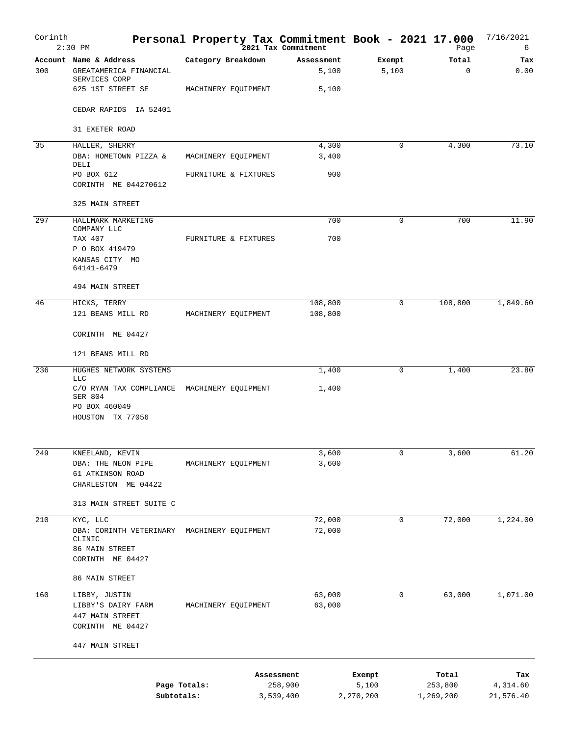| Corinth          | $2:30$ PM                                                         |                      |            | Personal Property Tax Commitment Book - 2021 17.000<br><sup>2021</sup> Tax Commitment |                    | Page                 | 7/16/2021<br>6        |
|------------------|-------------------------------------------------------------------|----------------------|------------|---------------------------------------------------------------------------------------|--------------------|----------------------|-----------------------|
| 300              | Account Name & Address<br>GREATAMERICA FINANCIAL<br>SERVICES CORP | Category Breakdown   |            | Assessment<br>5,100                                                                   | Exempt<br>5,100    | Total<br>$\mathbf 0$ | Tax<br>0.00           |
|                  | 625 1ST STREET SE                                                 | MACHINERY EQUIPMENT  |            | 5,100                                                                                 |                    |                      |                       |
|                  | CEDAR RAPIDS IA 52401                                             |                      |            |                                                                                       |                    |                      |                       |
|                  | 31 EXETER ROAD                                                    |                      |            |                                                                                       |                    |                      |                       |
| 35               | HALLER, SHERRY                                                    |                      |            | 4,300                                                                                 | $\mathbf 0$        | 4,300                | 73.10                 |
|                  | DBA: HOMETOWN PIZZA &<br>DELI                                     | MACHINERY EQUIPMENT  |            | 3,400                                                                                 |                    |                      |                       |
|                  | PO BOX 612<br>CORINTH ME 044270612                                | FURNITURE & FIXTURES |            | 900                                                                                   |                    |                      |                       |
|                  | 325 MAIN STREET                                                   |                      |            |                                                                                       |                    |                      |                       |
| 297              | HALLMARK MARKETING                                                |                      |            | 700                                                                                   | $\mathbf 0$        | 700                  | 11.90                 |
|                  | COMPANY LLC                                                       |                      |            |                                                                                       |                    |                      |                       |
|                  | TAX 407<br>P O BOX 419479                                         | FURNITURE & FIXTURES |            | 700                                                                                   |                    |                      |                       |
|                  | KANSAS CITY MO<br>64141-6479                                      |                      |            |                                                                                       |                    |                      |                       |
|                  | 494 MAIN STREET                                                   |                      |            |                                                                                       |                    |                      |                       |
| 46               | HICKS, TERRY                                                      |                      |            | 108,800                                                                               | $\mathbf 0$        | 108,800              | 1,849.60              |
|                  | 121 BEANS MILL RD                                                 | MACHINERY EQUIPMENT  |            | 108,800                                                                               |                    |                      |                       |
|                  | CORINTH ME 04427                                                  |                      |            |                                                                                       |                    |                      |                       |
|                  | 121 BEANS MILL RD                                                 |                      |            |                                                                                       |                    |                      |                       |
| 236              | HUGHES NETWORK SYSTEMS<br><b>LLC</b>                              |                      |            | 1,400                                                                                 | $\mathbf 0$        | 1,400                | 23.80                 |
|                  | C/O RYAN TAX COMPLIANCE MACHINERY EQUIPMENT                       |                      |            | 1,400                                                                                 |                    |                      |                       |
|                  | SER 804<br>PO BOX 460049                                          |                      |            |                                                                                       |                    |                      |                       |
|                  | HOUSTON TX 77056                                                  |                      |            |                                                                                       |                    |                      |                       |
| 249              | KNEELAND, KEVIN                                                   |                      |            | 3,600                                                                                 | 0                  | 3,600                | 61.20                 |
|                  | DBA: THE NEON PIPE                                                | MACHINERY EQUIPMENT  |            | 3,600                                                                                 |                    |                      |                       |
|                  | 61 ATKINSON ROAD                                                  |                      |            |                                                                                       |                    |                      |                       |
|                  | CHARLESTON ME 04422                                               |                      |            |                                                                                       |                    |                      |                       |
|                  | 313 MAIN STREET SUITE C                                           |                      |            |                                                                                       |                    |                      |                       |
| $\overline{210}$ | KYC, LLC                                                          |                      |            | 72,000                                                                                | 0                  | 72,000               | 1,224.00              |
|                  | DBA: CORINTH VETERINARY<br>CLINIC                                 | MACHINERY EQUIPMENT  |            | 72,000                                                                                |                    |                      |                       |
|                  | 86 MAIN STREET                                                    |                      |            |                                                                                       |                    |                      |                       |
|                  | CORINTH ME 04427                                                  |                      |            |                                                                                       |                    |                      |                       |
|                  | 86 MAIN STREET                                                    |                      |            |                                                                                       |                    |                      |                       |
| 160              | LIBBY, JUSTIN                                                     |                      |            | 63,000                                                                                | 0                  | 63,000               | 1,071.00              |
|                  | LIBBY'S DAIRY FARM<br>447 MAIN STREET                             | MACHINERY EQUIPMENT  |            | 63,000                                                                                |                    |                      |                       |
|                  | CORINTH ME 04427                                                  |                      |            |                                                                                       |                    |                      |                       |
|                  | 447 MAIN STREET                                                   |                      |            |                                                                                       |                    |                      |                       |
|                  |                                                                   |                      | Assessment |                                                                                       | Exempt             | Total                | Tax                   |
|                  | Subtotals:                                                        | Page Totals:         |            | 258,900<br>3,539,400                                                                  | 5,100<br>2,270,200 | 253,800<br>1,269,200 | 4,314.60<br>21,576.40 |
|                  |                                                                   |                      |            |                                                                                       |                    |                      |                       |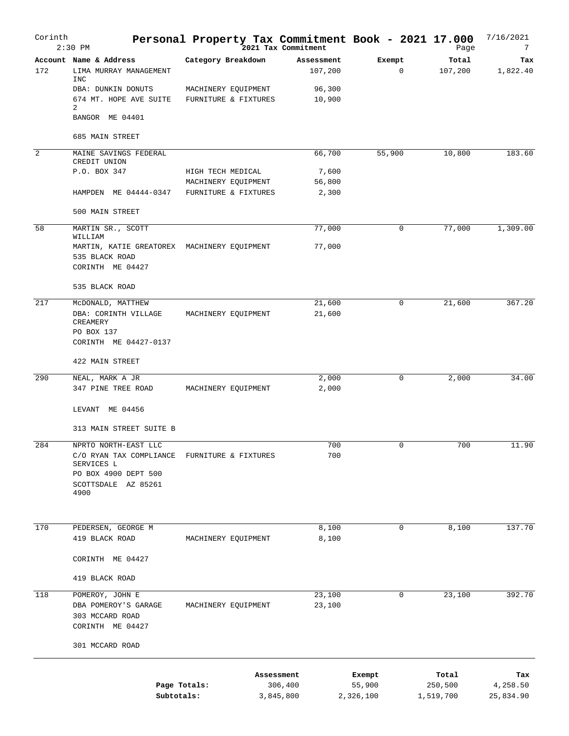| Corinth | $2:30$ PM                                                      | Personal Property Tax Commitment Book - 2021 17.000 | 2021 Tax Commitment  |                       |                     |          | Page                 | 7/16/2021<br>7        |
|---------|----------------------------------------------------------------|-----------------------------------------------------|----------------------|-----------------------|---------------------|----------|----------------------|-----------------------|
| 172     | Account Name & Address<br>LIMA MURRAY MANAGEMENT<br><b>INC</b> | Category Breakdown                                  |                      | Assessment<br>107,200 | Exempt              | 0        | Total<br>107,200     | Tax<br>1,822.40       |
|         | DBA: DUNKIN DONUTS<br>674 MT. HOPE AVE SUITE<br>2              | MACHINERY EQUIPMENT<br>FURNITURE & FIXTURES         |                      | 96,300<br>10,900      |                     |          |                      |                       |
|         | BANGOR ME 04401                                                |                                                     |                      |                       |                     |          |                      |                       |
|         | 685 MAIN STREET                                                |                                                     |                      |                       |                     |          |                      |                       |
| 2       | MAINE SAVINGS FEDERAL<br>CREDIT UNION                          |                                                     |                      | 66,700                | 55,900              |          | 10,800               | 183.60                |
|         | P.O. BOX 347                                                   | HIGH TECH MEDICAL<br>MACHINERY EQUIPMENT            |                      | 7,600<br>56,800       |                     |          |                      |                       |
|         | HAMPDEN ME 04444-0347                                          | FURNITURE & FIXTURES                                |                      | 2,300                 |                     |          |                      |                       |
|         | 500 MAIN STREET                                                |                                                     |                      |                       |                     |          |                      |                       |
| 58      | MARTIN SR., SCOTT<br>WILLIAM                                   |                                                     |                      | 77,000                |                     | 0        | 77,000               | 1,309.00              |
|         | MARTIN, KATIE GREATOREX MACHINERY EQUIPMENT<br>535 BLACK ROAD  |                                                     |                      | 77,000                |                     |          |                      |                       |
|         | CORINTH ME 04427                                               |                                                     |                      |                       |                     |          |                      |                       |
|         | 535 BLACK ROAD                                                 |                                                     |                      |                       |                     |          |                      |                       |
| 217     | MCDONALD, MATTHEW<br>DBA: CORINTH VILLAGE<br>CREAMERY          | MACHINERY EQUIPMENT                                 |                      | 21,600<br>21,600      |                     | 0        | 21,600               | 367.20                |
|         | PO BOX 137<br>CORINTH ME 04427-0137                            |                                                     |                      |                       |                     |          |                      |                       |
|         | 422 MAIN STREET                                                |                                                     |                      |                       |                     |          |                      |                       |
| 290     | NEAL, MARK A JR<br>347 PINE TREE ROAD                          | MACHINERY EQUIPMENT                                 |                      | 2,000<br>2,000        |                     | 0        | 2,000                | 34.00                 |
|         | LEVANT ME 04456                                                |                                                     |                      |                       |                     |          |                      |                       |
|         | 313 MAIN STREET SUITE B                                        |                                                     |                      |                       |                     |          |                      |                       |
| 284     | NPRTO NORTH-EAST LLC<br>C/O RYAN TAX COMPLIANCE<br>SERVICES L  | FURNITURE & FIXTURES                                |                      | 700<br>700            |                     | $\Omega$ | 700                  | 11.90                 |
|         | PO BOX 4900 DEPT 500<br>SCOTTSDALE AZ 85261<br>4900            |                                                     |                      |                       |                     |          |                      |                       |
| 170     | PEDERSEN, GEORGE M                                             |                                                     |                      | 8,100                 |                     | 0        | 8,100                | 137.70                |
|         | 419 BLACK ROAD                                                 | MACHINERY EQUIPMENT                                 |                      | 8,100                 |                     |          |                      |                       |
|         | CORINTH ME 04427                                               |                                                     |                      |                       |                     |          |                      |                       |
|         | 419 BLACK ROAD                                                 |                                                     |                      |                       |                     |          |                      |                       |
| 118     | POMEROY, JOHN E                                                |                                                     |                      | 23,100                |                     | 0        | 23,100               | 392.70                |
|         | DBA POMEROY'S GARAGE<br>303 MCCARD ROAD<br>CORINTH ME 04427    | MACHINERY EQUIPMENT                                 |                      | 23,100                |                     |          |                      |                       |
|         | 301 MCCARD ROAD                                                |                                                     |                      |                       |                     |          |                      |                       |
|         |                                                                |                                                     | Assessment           |                       | Exempt              |          | Total                | Tax                   |
|         | Subtotals:                                                     | Page Totals:                                        | 306,400<br>3,845,800 |                       | 55,900<br>2,326,100 |          | 250,500<br>1,519,700 | 4,258.50<br>25,834.90 |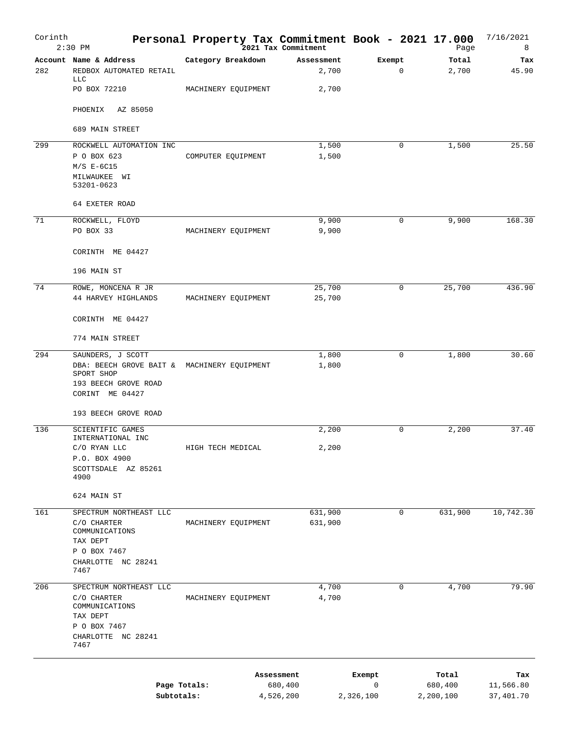| Corinth | $2:30$ PM                                                                                                                 | Personal Property Tax Commitment Book - 2021 17.000 | 2021 Tax Commitment  |                | Page                 | 7/16/2021<br>8         |
|---------|---------------------------------------------------------------------------------------------------------------------------|-----------------------------------------------------|----------------------|----------------|----------------------|------------------------|
| 282     | Account Name & Address<br>REDBOX AUTOMATED RETAIL<br><b>LLC</b>                                                           | Category Breakdown                                  | Assessment<br>2,700  | Exempt<br>0    | Total<br>2,700       | Tax<br>45.90           |
|         | PO BOX 72210                                                                                                              | MACHINERY EQUIPMENT                                 | 2,700                |                |                      |                        |
|         | AZ 85050<br>PHOENIX                                                                                                       |                                                     |                      |                |                      |                        |
|         | 689 MAIN STREET                                                                                                           |                                                     |                      |                |                      |                        |
| 299     | ROCKWELL AUTOMATION INC<br>P O BOX 623<br>$M/S$ E-6C15<br>MILWAUKEE WI<br>53201-0623                                      | COMPUTER EQUIPMENT                                  | 1,500<br>1,500       | 0              | 1,500                | 25.50                  |
|         | 64 EXETER ROAD                                                                                                            |                                                     |                      |                |                      |                        |
| 71      | ROCKWELL, FLOYD<br>PO BOX 33                                                                                              | MACHINERY EQUIPMENT                                 | 9,900<br>9,900       | 0              | 9,900                | 168.30                 |
|         | CORINTH ME 04427<br>196 MAIN ST                                                                                           |                                                     |                      |                |                      |                        |
| 74      | ROWE, MONCENA R JR                                                                                                        |                                                     | 25,700               | 0              | 25,700               | 436.90                 |
|         | 44 HARVEY HIGHLANDS                                                                                                       | MACHINERY EQUIPMENT                                 | 25,700               |                |                      |                        |
|         | CORINTH ME 04427                                                                                                          |                                                     |                      |                |                      |                        |
|         | 774 MAIN STREET                                                                                                           |                                                     |                      |                |                      |                        |
| 294     | SAUNDERS, J SCOTT<br>DBA: BEECH GROVE BAIT & MACHINERY EQUIPMENT<br>SPORT SHOP<br>193 BEECH GROVE ROAD<br>CORINT ME 04427 |                                                     | 1,800<br>1,800       | 0              | 1,800                | 30.60                  |
|         | 193 BEECH GROVE ROAD                                                                                                      |                                                     |                      |                |                      |                        |
| 136     | SCIENTIFIC GAMES                                                                                                          |                                                     | 2,200                | 0              | 2,200                | 37.40                  |
|         | INTERNATIONAL INC<br>C/O RYAN LLC<br>P.O. BOX 4900<br>SCOTTSDALE AZ 85261<br>4900                                         | HIGH TECH MEDICAL                                   | 2,200                |                |                      |                        |
|         | 624 MAIN ST                                                                                                               |                                                     |                      |                |                      |                        |
| 161     | SPECTRUM NORTHEAST LLC<br>C/O CHARTER<br>COMMUNICATIONS<br>TAX DEPT<br>P O BOX 7467<br>CHARLOTTE NC 28241<br>7467         | MACHINERY EQUIPMENT                                 | 631,900<br>631,900   | 0              | 631,900              | 10,742.30              |
| 206     | SPECTRUM NORTHEAST LLC                                                                                                    |                                                     | 4,700                | 0              | 4,700                | 79.90                  |
|         | C/O CHARTER<br>COMMUNICATIONS<br>TAX DEPT<br>P O BOX 7467<br>CHARLOTTE NC 28241<br>7467                                   | MACHINERY EQUIPMENT                                 | 4,700                |                |                      |                        |
|         |                                                                                                                           |                                                     | Assessment           | Exempt         | Total                | Tax                    |
|         | Subtotals:                                                                                                                | Page Totals:                                        | 680,400<br>4,526,200 | 0<br>2,326,100 | 680,400<br>2,200,100 | 11,566.80<br>37,401.70 |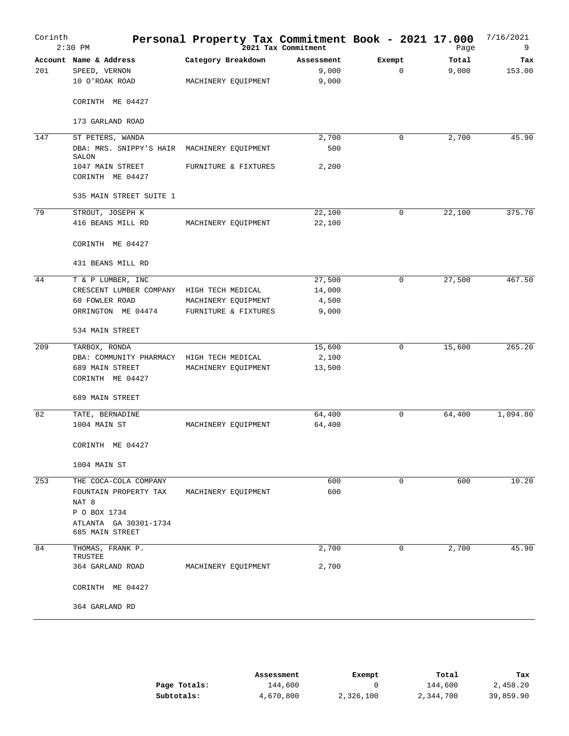| Corinth | $2:30$ PM                                                 | Personal Property Tax Commitment Book - 2021 17.000 | 2021 Tax Commitment          |                       | Page           | 7/16/2021<br>9 |
|---------|-----------------------------------------------------------|-----------------------------------------------------|------------------------------|-----------------------|----------------|----------------|
| 201     | Account Name & Address<br>SPEED, VERNON<br>10 O'ROAK ROAD | Category Breakdown<br>MACHINERY EQUIPMENT           | Assessment<br>9,000<br>9,000 | Exempt<br>$\mathbf 0$ | Total<br>9,000 | Tax<br>153.00  |
|         | CORINTH ME 04427                                          |                                                     |                              |                       |                |                |
|         | 173 GARLAND ROAD                                          |                                                     |                              |                       |                |                |
| 147     | ST PETERS, WANDA                                          |                                                     | 2,700                        | $\mathbf 0$           | 2,700          | 45.90          |
|         | DBA: MRS. SNIPPY'S HAIR MACHINERY EQUIPMENT<br>SALON      |                                                     | 500                          |                       |                |                |
|         | 1047 MAIN STREET<br>CORINTH ME 04427                      | FURNITURE & FIXTURES                                | 2,200                        |                       |                |                |
|         | 535 MAIN STREET SUITE 1                                   |                                                     |                              |                       |                |                |
| 79      | STROUT, JOSEPH K                                          |                                                     | 22,100                       | $\mathbf 0$           | 22,100         | 375.70         |
|         | 416 BEANS MILL RD                                         | MACHINERY EQUIPMENT                                 | 22,100                       |                       |                |                |
|         | CORINTH ME 04427                                          |                                                     |                              |                       |                |                |
|         | 431 BEANS MILL RD                                         |                                                     |                              |                       |                |                |
| 44      | T & P LUMBER, INC                                         |                                                     | 27,500                       | $\mathbf 0$           | 27,500         | 467.50         |
|         | CRESCENT LUMBER COMPANY                                   | HIGH TECH MEDICAL                                   | 14,000                       |                       |                |                |
|         | 60 FOWLER ROAD                                            | MACHINERY EQUIPMENT                                 | 4,500                        |                       |                |                |
|         | ORRINGTON ME 04474                                        | FURNITURE & FIXTURES                                | 9,000                        |                       |                |                |
|         | 534 MAIN STREET                                           |                                                     |                              |                       |                |                |
| 209     | TARBOX, RONDA                                             |                                                     | 15,600                       | $\mathbf 0$           | 15,600         | 265.20         |
|         | DBA: COMMUNITY PHARMACY                                   | HIGH TECH MEDICAL                                   | 2,100                        |                       |                |                |
|         | 689 MAIN STREET<br>CORINTH ME 04427                       | MACHINERY EQUIPMENT                                 | 13,500                       |                       |                |                |
|         | 689 MAIN STREET                                           |                                                     |                              |                       |                |                |
| 82      | TATE, BERNADINE                                           |                                                     | 64,400                       | $\mathbf 0$           | 64,400         | 1,094.80       |
|         | 1004 MAIN ST                                              | MACHINERY EQUIPMENT                                 | 64,400                       |                       |                |                |
|         | CORINTH ME 04427                                          |                                                     |                              |                       |                |                |
|         | 1004 MAIN ST                                              |                                                     |                              |                       |                |                |
| 253     | THE COCA-COLA COMPANY                                     |                                                     | 600                          | $\mathbf 0$           | 600            | 10.20          |
|         | FOUNTAIN PROPERTY TAX                                     | MACHINERY EQUIPMENT                                 | 600                          |                       |                |                |
|         | NAT 8                                                     |                                                     |                              |                       |                |                |
|         | P O BOX 1734                                              |                                                     |                              |                       |                |                |
|         | ATLANTA GA 30301-1734<br>685 MAIN STREET                  |                                                     |                              |                       |                |                |
| 84      | THOMAS, FRANK P.<br>TRUSTEE                               |                                                     | 2,700                        | $\mathbf 0$           | 2,700          | 45.90          |
|         | 364 GARLAND ROAD                                          | MACHINERY EQUIPMENT                                 | 2,700                        |                       |                |                |
|         | CORINTH ME 04427                                          |                                                     |                              |                       |                |                |
|         | 364 GARLAND RD                                            |                                                     |                              |                       |                |                |

|              | Assessment | Exempt    | Total     | Tax       |
|--------------|------------|-----------|-----------|-----------|
| Page Totals: | 144,600    |           | 144,600   | 2,458.20  |
| Subtotals:   | 4,670,800  | 2,326,100 | 2,344,700 | 39,859.90 |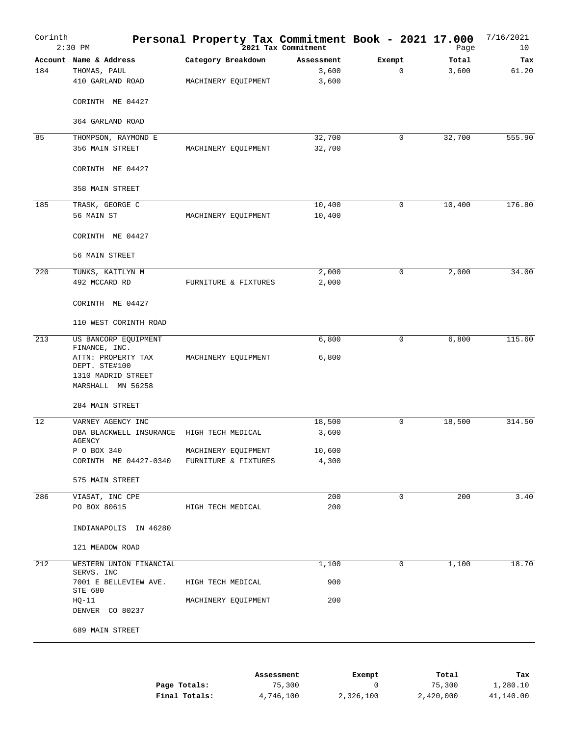| Corinth | $2:30$ PM                               | Personal Property Tax Commitment Book - 2021 17.000 |                     |                       | Page           | 7/16/2021<br>10 |
|---------|-----------------------------------------|-----------------------------------------------------|---------------------|-----------------------|----------------|-----------------|
| 184     | Account Name & Address<br>THOMAS, PAUL  | Category Breakdown                                  | Assessment<br>3,600 | Exempt<br>$\mathbf 0$ | Total<br>3,600 | Tax<br>61.20    |
|         | 410 GARLAND ROAD                        | MACHINERY EQUIPMENT                                 | 3,600               |                       |                |                 |
|         | CORINTH ME 04427                        |                                                     |                     |                       |                |                 |
|         | 364 GARLAND ROAD                        |                                                     |                     |                       |                |                 |
| 85      | THOMPSON, RAYMOND E                     |                                                     | 32,700              | 0                     | 32,700         | 555.90          |
|         | 356 MAIN STREET                         | MACHINERY EQUIPMENT                                 | 32,700              |                       |                |                 |
|         | CORINTH ME 04427                        |                                                     |                     |                       |                |                 |
|         | 358 MAIN STREET                         |                                                     |                     |                       |                |                 |
| 185     | TRASK, GEORGE C                         |                                                     | 10,400              | 0                     | 10,400         | 176.80          |
|         | 56 MAIN ST                              | MACHINERY EQUIPMENT                                 | 10,400              |                       |                |                 |
|         | CORINTH ME 04427                        |                                                     |                     |                       |                |                 |
|         | 56 MAIN STREET                          |                                                     |                     |                       |                |                 |
| 220     | TUNKS, KAITLYN M                        |                                                     | 2,000               | 0                     | 2,000          | 34.00           |
|         | 492 MCCARD RD                           | FURNITURE & FIXTURES                                | 2,000               |                       |                |                 |
|         | CORINTH ME 04427                        |                                                     |                     |                       |                |                 |
|         | 110 WEST CORINTH ROAD                   |                                                     |                     |                       |                |                 |
| 213     | US BANCORP EQUIPMENT<br>FINANCE, INC.   |                                                     | 6,800               | $\mathbf 0$           | 6,800          | 115.60          |
|         | ATTN: PROPERTY TAX<br>DEPT. STE#100     | MACHINERY EQUIPMENT                                 | 6,800               |                       |                |                 |
|         | 1310 MADRID STREET<br>MARSHALL MN 56258 |                                                     |                     |                       |                |                 |
|         | 284 MAIN STREET                         |                                                     |                     |                       |                |                 |
| 12      | VARNEY AGENCY INC                       |                                                     | 18,500              | 0                     | 18,500         | 314.50          |
|         | DBA BLACKWELL INSURANCE<br>AGENCY       | HIGH TECH MEDICAL                                   | 3,600               |                       |                |                 |
|         | P O BOX 340                             | MACHINERY EQUIPMENT                                 | 10,600              |                       |                |                 |
|         | CORINTH ME 04427-0340                   | FURNITURE & FIXTURES                                | 4,300               |                       |                |                 |
|         | 575 MAIN STREET                         |                                                     |                     |                       |                |                 |
| 286     | VIASAT, INC CPE                         |                                                     | 200                 | $\mathbf 0$           | 200            | 3.40            |
|         | PO BOX 80615                            | HIGH TECH MEDICAL                                   | 200                 |                       |                |                 |
|         | INDIANAPOLIS IN 46280                   |                                                     |                     |                       |                |                 |
|         | 121 MEADOW ROAD                         |                                                     |                     |                       |                |                 |
| 212     | WESTERN UNION FINANCIAL<br>SERVS. INC   |                                                     | 1,100               | 0                     | 1,100          | 18.70           |
|         | 7001 E BELLEVIEW AVE.<br>STE 680        | HIGH TECH MEDICAL                                   | 900                 |                       |                |                 |
|         | HQ-11<br>DENVER CO 80237                | MACHINERY EQUIPMENT                                 | 200                 |                       |                |                 |
|         | 689 MAIN STREET                         |                                                     |                     |                       |                |                 |
|         |                                         |                                                     |                     |                       |                |                 |
|         |                                         |                                                     |                     |                       |                |                 |
|         |                                         | Assessment                                          |                     | Exempt                | Total          | Tax             |

|               | ASSessment | вхешрс    | тосат     | тах       |
|---------------|------------|-----------|-----------|-----------|
| Page Totals:  | 75,300     |           | 75,300    | 1,280.10  |
| Final Totals: | 4,746,100  | 2,326,100 | 2,420,000 | 41,140.00 |